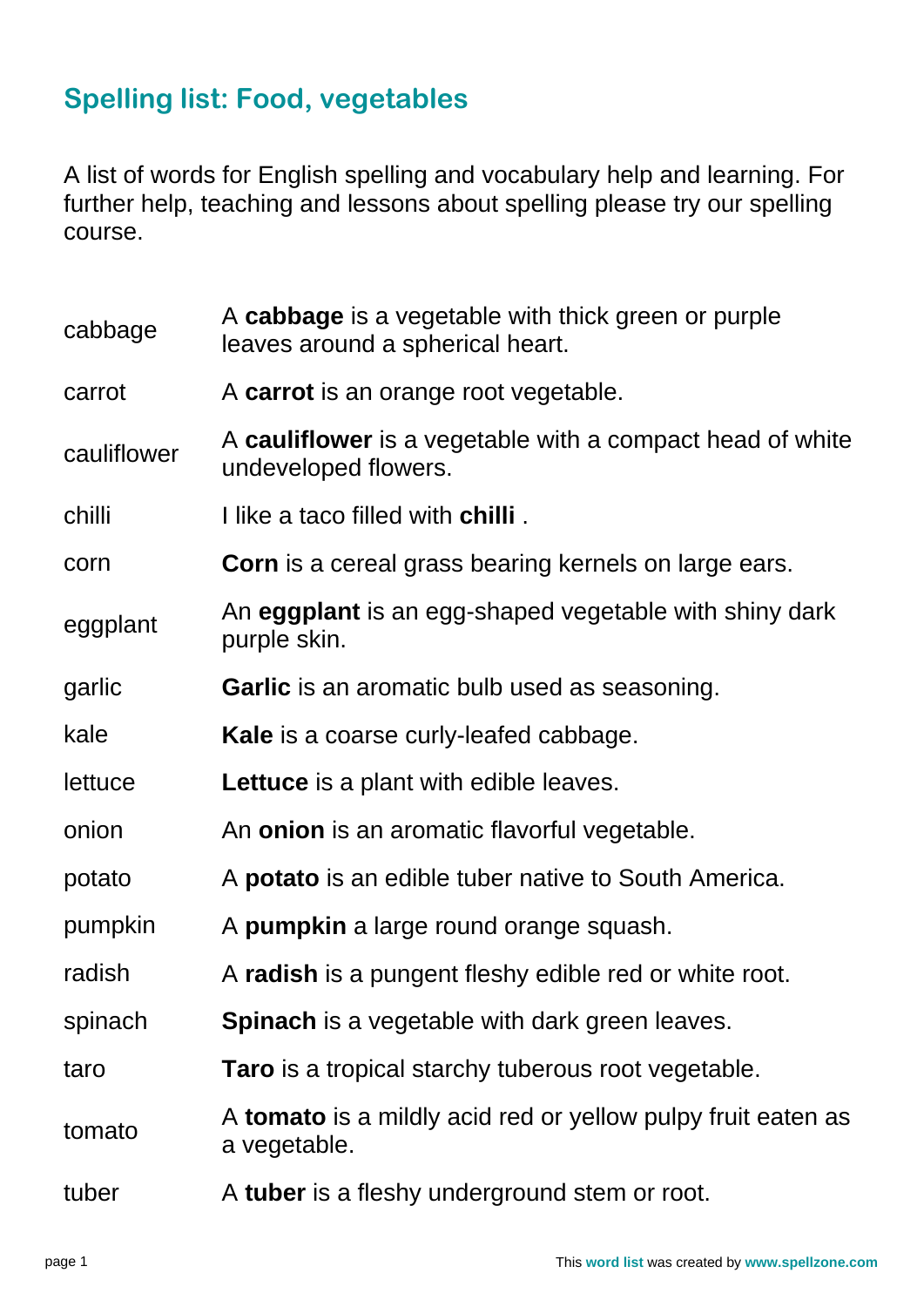## **Spelling list: Food, vegetables**

A list of words for English spelling and vocabulary help and learning. For further help, teaching and lessons about spelling please try our spelling course.

| cabbage     | A cabbage is a vegetable with thick green or purple<br>leaves around a spherical heart. |
|-------------|-----------------------------------------------------------------------------------------|
| carrot      | A carrot is an orange root vegetable.                                                   |
| cauliflower | A cauliflower is a vegetable with a compact head of white<br>undeveloped flowers.       |
| chilli      | I like a taco filled with <b>chilli</b> .                                               |
| corn        | <b>Corn</b> is a cereal grass bearing kernels on large ears.                            |
| eggplant    | An eggplant is an egg-shaped vegetable with shiny dark<br>purple skin.                  |
| garlic      | <b>Garlic</b> is an aromatic bulb used as seasoning.                                    |
| kale        | Kale is a coarse curly-leafed cabbage.                                                  |
| lettuce     | <b>Lettuce</b> is a plant with edible leaves.                                           |
| onion       | An <b>onion</b> is an aromatic flavorful vegetable.                                     |
| potato      | A <b>potato</b> is an edible tuber native to South America.                             |
| pumpkin     | A pumpkin a large round orange squash.                                                  |
| radish      | A radish is a pungent fleshy edible red or white root.                                  |
| spinach     | <b>Spinach</b> is a vegetable with dark green leaves.                                   |
| taro        | <b>Taro</b> is a tropical starchy tuberous root vegetable.                              |
| tomato      | A <b>tomato</b> is a mildly acid red or yellow pulpy fruit eaten as<br>a vegetable.     |
| tuber       | A tuber is a fleshy underground stem or root.                                           |